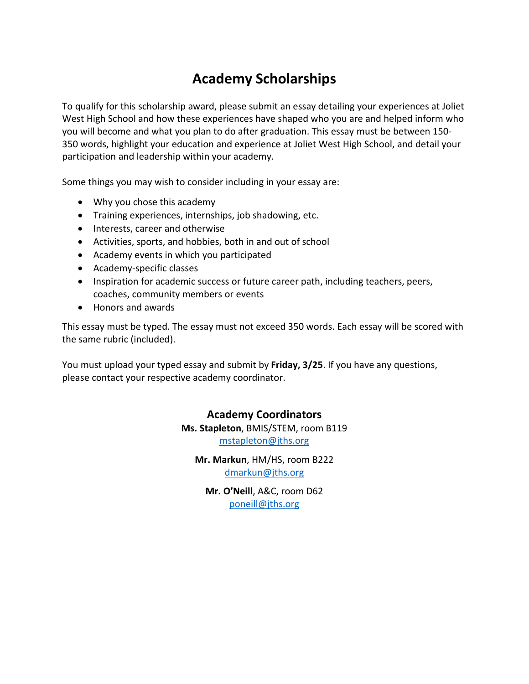## **Academy Scholarships**

To qualify for this scholarship award, please submit an essay detailing your experiences at Joliet West High School and how these experiences have shaped who you are and helped inform who you will become and what you plan to do after graduation. This essay must be between 150- 350 words, highlight your education and experience at Joliet West High School, and detail your participation and leadership within your academy.

Some things you may wish to consider including in your essay are:

- Why you chose this academy
- Training experiences, internships, job shadowing, etc.
- Interests, career and otherwise
- Activities, sports, and hobbies, both in and out of school
- Academy events in which you participated
- Academy-specific classes
- Inspiration for academic success or future career path, including teachers, peers, coaches, community members or events
- Honors and awards

This essay must be typed. The essay must not exceed 350 words. Each essay will be scored with the same rubric (included).

You must upload your typed essay and submit by **Friday, 3/25**. If you have any questions, please contact your respective academy coordinator.

## **Academy Coordinators**

**Ms. Stapleton**, BMIS/STEM, room B119 [mstapleton@jths.org](mailto:mstapleton@jths.org)

**Mr. Markun**, HM/HS, room B222 [dmarkun@jths.org](mailto:dmarkun@jths.org)

**Mr. O'Neill**, A&C, room D62 [poneill@jths.org](mailto:rbain@jths.org)